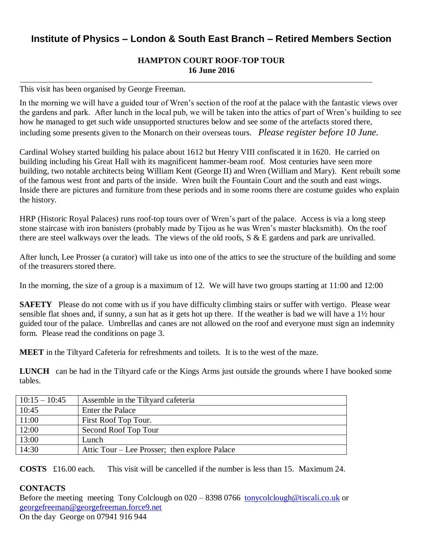## **Institute of Physics – London & South East Branch – Retired Members Section**

## **HAMPTON COURT ROOF-TOP TOUR 16 June 2016**

This visit has been organised by George Freeman.

In the morning we will have a guided tour of Wren's section of the roof at the palace with the fantastic views over the gardens and park. After lunch in the local pub, we will be taken into the attics of part of Wren's building to see how he managed to get such wide unsupported structures below and see some of the artefacts stored there, including some presents given to the Monarch on their overseas tours. *Please register before 10 June.*

Cardinal Wolsey started building his palace about 1612 but Henry VIII confiscated it in 1620. He carried on building including his Great Hall with its magnificent hammer-beam roof. Most centuries have seen more building, two notable architects being William Kent (George II) and Wren (William and Mary). Kent rebuilt some of the famous west front and parts of the inside. Wren built the Fountain Court and the south and east wings. Inside there are pictures and furniture from these periods and in some rooms there are costume guides who explain the history.

HRP (Historic Royal Palaces) runs roof-top tours over of Wren's part of the palace. Access is via a long steep stone staircase with iron banisters (probably made by Tijou as he was Wren's master blacksmith). On the roof there are steel walkways over the leads. The views of the old roofs, S & E gardens and park are unrivalled.

After lunch, Lee Prosser (a curator) will take us into one of the attics to see the structure of the building and some of the treasurers stored there.

In the morning, the size of a group is a maximum of 12. We will have two groups starting at 11:00 and 12:00

**SAFETY** Please do not come with us if you have difficulty climbing stairs or suffer with vertigo. Please wear sensible flat shoes and, if sunny, a sun hat as it gets hot up there. If the weather is bad we will have a 1½ hour guided tour of the palace. Umbrellas and canes are not allowed on the roof and everyone must sign an indemnity form. Please read the conditions on page 3.

**MEET** in the Tiltyard Cafeteria for refreshments and toilets. It is to the west of the maze.

**LUNCH** can be had in the Tiltyard cafe or the Kings Arms just outside the grounds where I have booked some tables.

| $10:15 - 10:45$ | Assemble in the Tiltyard cafeteria            |
|-----------------|-----------------------------------------------|
| 10:45           | <b>Enter the Palace</b>                       |
| 11:00           | First Roof Top Tour.                          |
| 12:00           | Second Roof Top Tour                          |
| 13:00           | Lunch                                         |
| 14:30           | Attic Tour – Lee Prosser; then explore Palace |

**COSTS** £16.00 each. This visit will be cancelled if the number is less than 15. Maximum 24.

## **CONTACTS**

Before the meeting meeting Tony Colclough on 020 – 8398 0766 [tonycolclough@tiscali.co.uk](mailto:tonycolclough@tiscali.co.uk) or [georgefreeman@georgefreeman.force9.net](mailto:georgefreeman@georgefreeman.force9.net) 

On the day George on 07941 916 944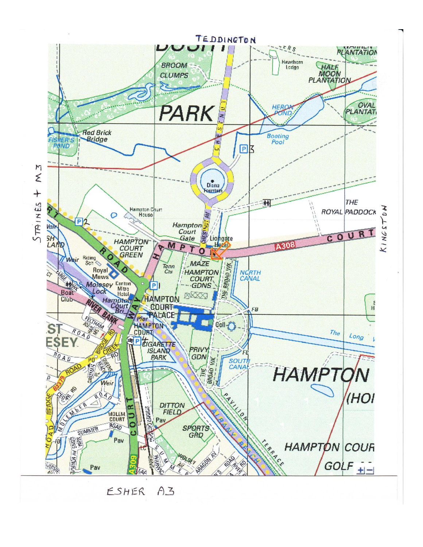

 $A3$ ESHER